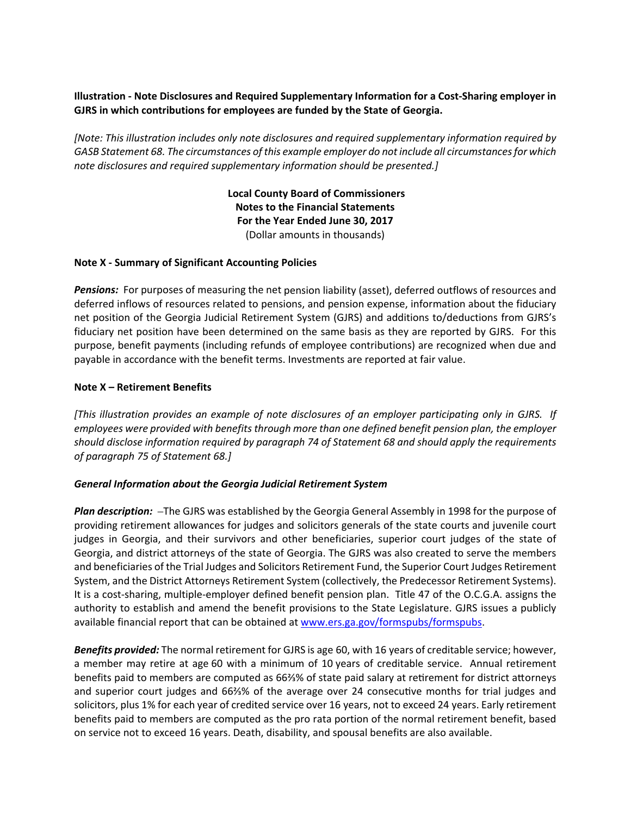# **Illustration ‐ Note Disclosures and Required Supplementary Information for a Cost‐Sharing employer in GJRS in which contributions for employees are funded by the State of Georgia.**

*[Note: This illustration includes only note disclosures and required supplementary information required by GASB Statement 68. The circumstances of this example employer do not include all circumstancesfor which note disclosures and required supplementary information should be presented.]*

> **Local County Board of Commissioners Notes to the Financial Statements For the Year Ended June 30, 2017** (Dollar amounts in thousands)

## **Note X ‐ Summary of Significant Accounting Policies**

**Pensions:** For purposes of measuring the net pension liability (asset), deferred outflows of resources and deferred inflows of resources related to pensions, and pension expense, information about the fiduciary net position of the Georgia Judicial Retirement System (GJRS) and additions to/deductions from GJRS's fiduciary net position have been determined on the same basis as they are reported by GJRS. For this purpose, benefit payments (including refunds of employee contributions) are recognized when due and payable in accordance with the benefit terms. Investments are reported at fair value.

## **Note X – Retirement Benefits**

*[This illustration provides an example of note disclosures of an employer participating only in GJRS. If employees were provided with benefits through more than one defined benefit pension plan, the employer should disclose information required by paragraph 74 of Statement 68 and should apply the requirements of paragraph 75 of Statement 68.]*

#### *General Information about the Georgia Judicial Retirement System*

**Plan** *description:* -The GJRS was established by the Georgia General Assembly in 1998 for the purpose of providing retirement allowances for judges and solicitors generals of the state courts and juvenile court judges in Georgia, and their survivors and other beneficiaries, superior court judges of the state of Georgia, and district attorneys of the state of Georgia. The GJRS was also created to serve the members and beneficiaries of the Trial Judges and Solicitors Retirement Fund, the Superior Court Judges Retirement System, and the District Attorneys Retirement System (collectively, the Predecessor Retirement Systems). It is a cost-sharing, multiple-employer defined benefit pension plan. Title 47 of the O.C.G.A. assigns the authority to establish and amend the benefit provisions to the State Legislature. GJRS issues a publicly available financial report that can be obtained at www.ers.ga.gov/formspubs/formspubs.

*Benefits provided:* The normal retirement for GJRS is age 60, with 16 years of creditable service; however, a member may retire at age 60 with a minimum of 10 years of creditable service. Annual retirement benefits paid to members are computed as 66⅔% of state paid salary at retirement for district attorneys and superior court judges and 66⅔% of the average over 24 consecutive months for trial judges and solicitors, plus 1% for each year of credited service over 16 years, not to exceed 24 years. Early retirement benefits paid to members are computed as the pro rata portion of the normal retirement benefit, based on service not to exceed 16 years. Death, disability, and spousal benefits are also available.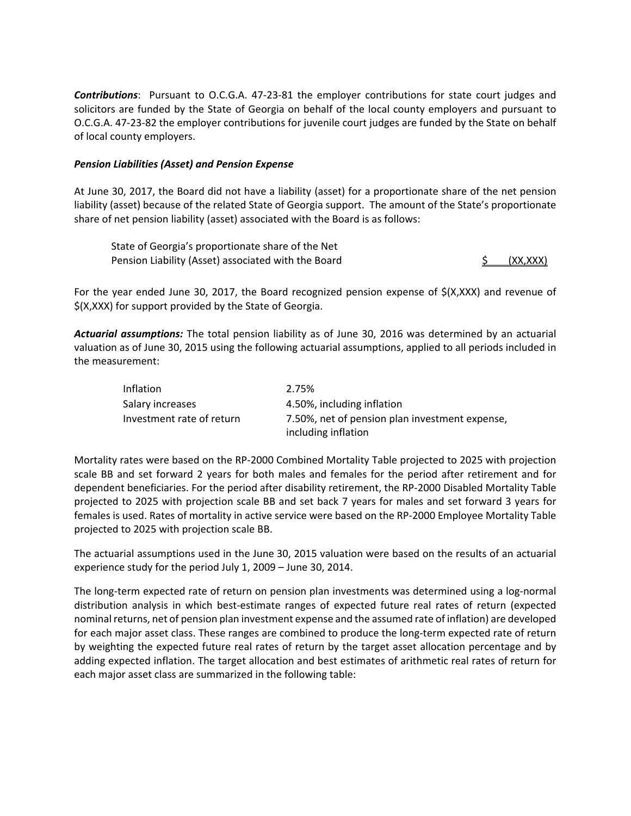*Contributions*: Pursuant to O.C.G.A. 47‐23‐81 the employer contributions for state court judges and solicitors are funded by the State of Georgia on behalf of the local county employers and pursuant to O.C.G.A. 47‐23‐82 the employer contributions for juvenile court judges are funded by the State on behalf of local county employers.

## *Pension Liabilities (Asset) and Pension Expense*

At June 30, 2017, the Board did not have a liability (asset) for a proportionate share of the net pension liability (asset) because of the related State of Georgia support. The amount of the State's proportionate share of net pension liability (asset) associated with the Board is as follows:

State of Georgia's proportionate share of the Net Pension Liability (Asset) associated with the Board  $\frac{\text{S}}{\text{S}}$  (XX,XXX)

For the year ended June 30, 2017, the Board recognized pension expense of \$(X,XXX) and revenue of \$(X,XXX) for support provided by the State of Georgia.

*Actuarial assumptions:* The total pension liability as of June 30, 2016 was determined by an actuarial valuation as of June 30, 2015 using the following actuarial assumptions, applied to all periods included in the measurement:

| Inflation                 | 2.75%                                          |
|---------------------------|------------------------------------------------|
| Salary increases          | 4.50%, including inflation                     |
| Investment rate of return | 7.50%, net of pension plan investment expense, |
|                           | including inflation                            |

Mortality rates were based on the RP‐2000 Combined Mortality Table projected to 2025 with projection scale BB and set forward 2 years for both males and females for the period after retirement and for dependent beneficiaries. For the period after disability retirement, the RP‐2000 Disabled Mortality Table projected to 2025 with projection scale BB and set back 7 years for males and set forward 3 years for females is used. Rates of mortality in active service were based on the RP‐2000 Employee Mortality Table projected to 2025 with projection scale BB.

The actuarial assumptions used in the June 30, 2015 valuation were based on the results of an actuarial experience study for the period July 1, 2009 – June 30, 2014.

The long‐term expected rate of return on pension plan investments was determined using a log‐normal distribution analysis in which best‐estimate ranges of expected future real rates of return (expected nominal returns, net of pension plan investment expense and the assumed rate of inflation) are developed for each major asset class. These ranges are combined to produce the long-term expected rate of return by weighting the expected future real rates of return by the target asset allocation percentage and by adding expected inflation. The target allocation and best estimates of arithmetic real rates of return for each major asset class are summarized in the following table: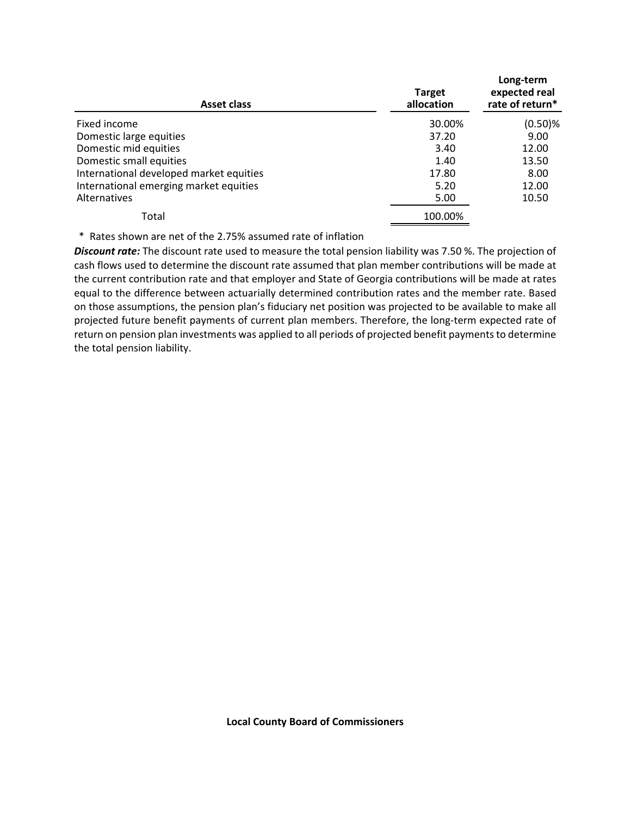| <b>Asset class</b>                      | <b>Target</b><br>allocation | Long-term<br>expected real<br>rate of return* |
|-----------------------------------------|-----------------------------|-----------------------------------------------|
| Fixed income                            | 30.00%                      | $(0.50)$ %                                    |
| Domestic large equities                 | 37.20                       | 9.00                                          |
| Domestic mid equities                   | 3.40                        | 12.00                                         |
| Domestic small equities                 | 1.40                        | 13.50                                         |
| International developed market equities | 17.80                       | 8.00                                          |
| International emerging market equities  | 5.20                        | 12.00                                         |
| Alternatives                            | 5.00                        | 10.50                                         |
| Total                                   | 100.00%                     |                                               |

\* Rates shown are net of the 2.75% assumed rate of inflation

*Discount rate:* The discount rate used to measure the total pension liability was 7.50 %. The projection of cash flows used to determine the discount rate assumed that plan member contributions will be made at the current contribution rate and that employer and State of Georgia contributions will be made at rates equal to the difference between actuarially determined contribution rates and the member rate. Based on those assumptions, the pension plan's fiduciary net position was projected to be available to make all projected future benefit payments of current plan members. Therefore, the long-term expected rate of return on pension plan investments was applied to all periods of projected benefit payments to determine the total pension liability.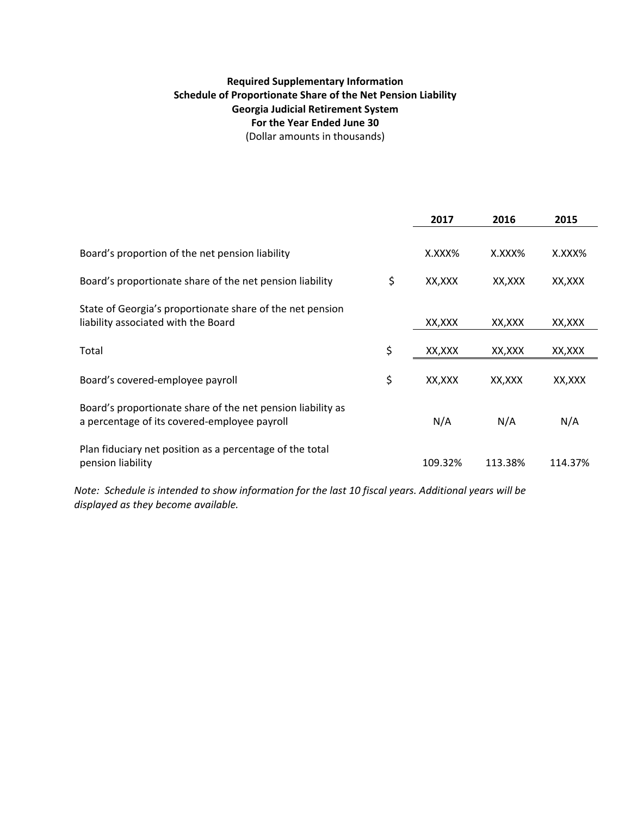# **Required Supplementary Information Schedule of Proportionate Share of the Net Pension Liability Georgia Judicial Retirement System For the Year Ended June 30** (Dollar amounts in thousands)

|                                                                                                             | 2017         | 2016    | 2015    |
|-------------------------------------------------------------------------------------------------------------|--------------|---------|---------|
| Board's proportion of the net pension liability                                                             | X.XXX%       | X.XXX%  | X.XXX%  |
|                                                                                                             |              |         |         |
| Board's proportionate share of the net pension liability                                                    | \$<br>XX,XXX | XX,XXX  | XX, XXX |
| State of Georgia's proportionate share of the net pension<br>liability associated with the Board            | XX,XXX       | XX,XXX  | XX,XXX  |
| Total                                                                                                       | \$<br>XX,XXX | XX, XXX | XX,XXX  |
| Board's covered-employee payroll                                                                            | \$<br>XX,XXX | XX,XXX  | XX,XXX  |
| Board's proportionate share of the net pension liability as<br>a percentage of its covered-employee payroll | N/A          | N/A     | N/A     |
| Plan fiduciary net position as a percentage of the total<br>pension liability                               | 109.32%      | 113.38% | 114.37% |

Note: Schedule is intended to show information for the last 10 fiscal years. Additional years will be *displayed as they become available.*